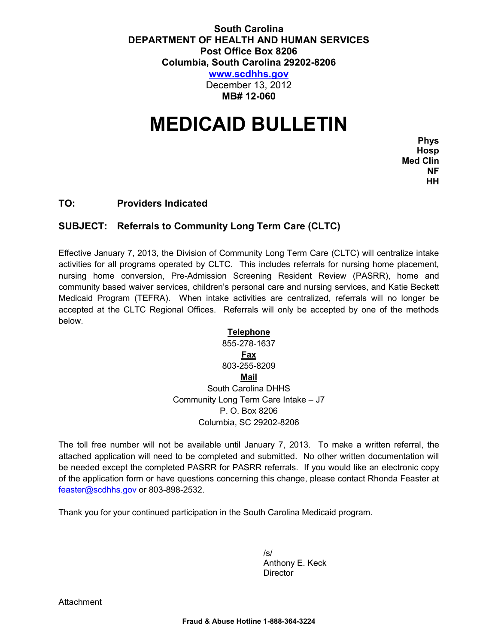### **South Carolina DEPARTMENT OF HEALTH AND HUMAN SERVICES Post Office Box 8206 Columbia, South Carolina 29202-8206**

**[www.scdhhs.gov](http://www.scdhhs.gov/)**

December 13, 2012 **MB# 12-060**

# **MEDICAID BULLETIN**

**Phys Hosp Med Clin NF HH**

#### **TO: Providers Indicated**

#### **SUBJECT: Referrals to Community Long Term Care (CLTC)**

Effective January 7, 2013, the Division of Community Long Term Care (CLTC) will centralize intake activities for all programs operated by CLTC. This includes referrals for nursing home placement, nursing home conversion, Pre-Admission Screening Resident Review (PASRR), home and community based waiver services, children's personal care and nursing services, and Katie Beckett Medicaid Program (TEFRA). When intake activities are centralized, referrals will no longer be accepted at the CLTC Regional Offices. Referrals will only be accepted by one of the methods below.

## **Telephone**

855-278-1637 **Fax** 803-255-8209 **Mail** South Carolina DHHS Community Long Term Care Intake – J7 P. O. Box 8206 Columbia, SC 29202-8206

The toll free number will not be available until January 7, 2013. To make a written referral, the attached application will need to be completed and submitted. No other written documentation will be needed except the completed PASRR for PASRR referrals. If you would like an electronic copy of the application form or have questions concerning this change, please contact Rhonda Feaster at [feaster@scdhhs.gov](mailto:feaster@scdhhs.gov) or 803-898-2532.

Thank you for your continued participation in the South Carolina Medicaid program.

/s/ Anthony E. Keck **Director** 

**Attachment**